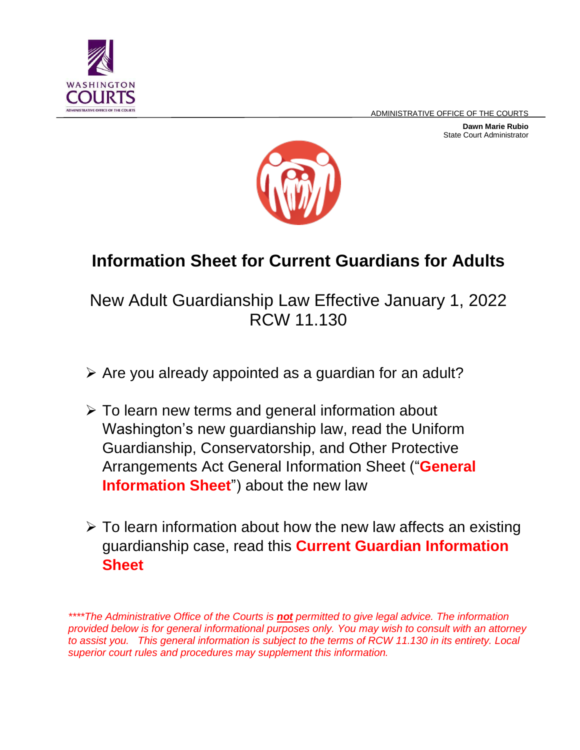ADMINISTRATIVE OFFICE OF THE COURTS

**Dawn Marie Rubio** State Court Administrator





# **Information Sheet for Current Guardians for Adults**

## New Adult Guardianship Law Effective January 1, 2022 RCW 11.130

- $\triangleright$  Are you already appointed as a guardian for an adult?
- $\triangleright$  To learn new terms and general information about Washington's new guardianship law, read the Uniform Guardianship, Conservatorship, and Other Protective Arrangements Act General Information Sheet ("**General Information Sheet**") about the new law
- $\triangleright$  To learn information about how the new law affects an existing guardianship case, read this **Current Guardian Information Sheet**

*<sup>\*\*\*\*</sup>The Administrative Office of the Courts is not permitted to give legal advice. The information provided below is for general informational purposes only. You may wish to consult with an attorney to assist you. This general information is subject to the terms of RCW 11.130 in its entirety. Local superior court rules and procedures may supplement this information.*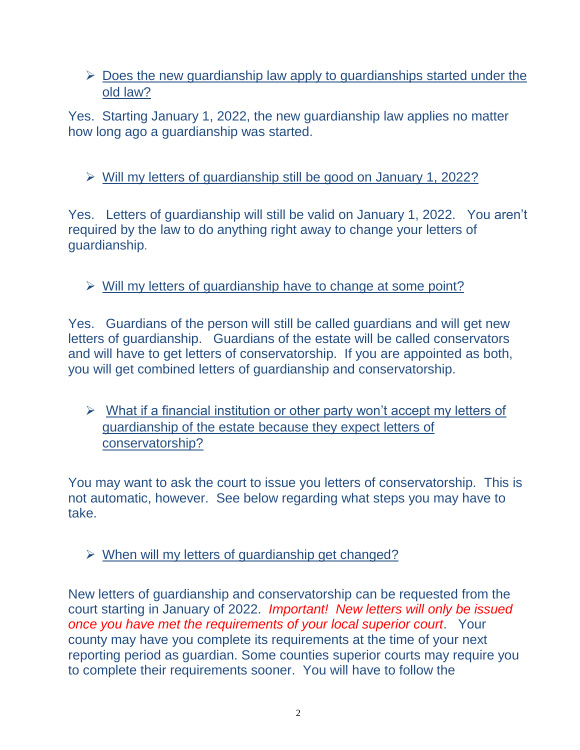#### $\triangleright$  Does the new guardianship law apply to guardianships started under the old law?

Yes. Starting January 1, 2022, the new guardianship law applies no matter how long ago a guardianship was started.

### Will my letters of guardianship still be good on January 1, 2022?

Yes. Letters of guardianship will still be valid on January 1, 2022. You aren't required by the law to do anything right away to change your letters of guardianship.

 $\triangleright$  Will my letters of guardianship have to change at some point?

Yes. Guardians of the person will still be called guardians and will get new letters of guardianship. Guardians of the estate will be called conservators and will have to get letters of conservatorship. If you are appointed as both, you will get combined letters of guardianship and conservatorship.

 $\triangleright$  What if a financial institution or other party won't accept my letters of guardianship of the estate because they expect letters of conservatorship?

You may want to ask the court to issue you letters of conservatorship. This is not automatic, however. See below regarding what steps you may have to take.

 $\triangleright$  When will my letters of quardianship get changed?

New letters of guardianship and conservatorship can be requested from the court starting in January of 2022. *Important! New letters will only be issued once you have met the requirements of your local superior court*. Your county may have you complete its requirements at the time of your next reporting period as guardian. Some counties superior courts may require you to complete their requirements sooner. You will have to follow the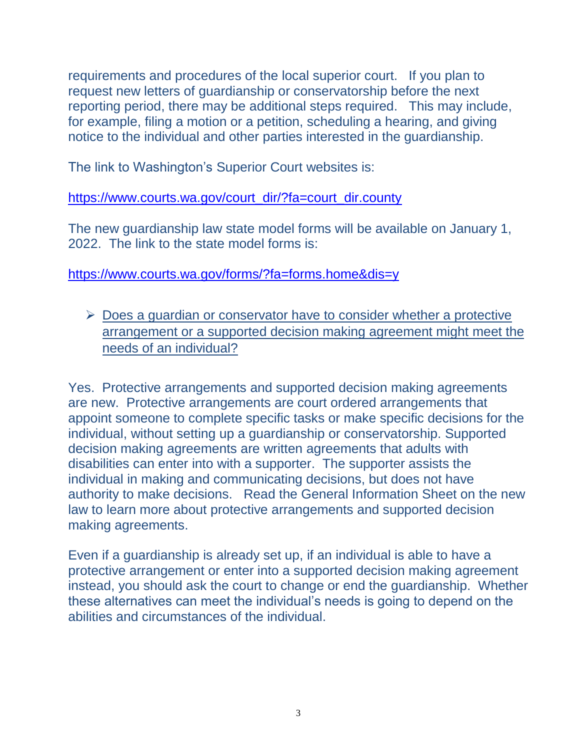requirements and procedures of the local superior court. If you plan to request new letters of guardianship or conservatorship before the next reporting period, there may be additional steps required. This may include, for example, filing a motion or a petition, scheduling a hearing, and giving notice to the individual and other parties interested in the guardianship.

The link to Washington's Superior Court websites is:

[https://www.courts.wa.gov/court\\_dir/?fa=court\\_dir.county](https://www.courts.wa.gov/court_dir/?fa=court_dir.county)

The new guardianship law state model forms will be available on January 1, 2022. The link to the state model forms is:

<https://www.courts.wa.gov/forms/?fa=forms.home&dis=y>

 $\triangleright$  Does a guardian or conservator have to consider whether a protective arrangement or a supported decision making agreement might meet the needs of an individual?

Yes. Protective arrangements and supported decision making agreements are new. Protective arrangements are court ordered arrangements that appoint someone to complete specific tasks or make specific decisions for the individual, without setting up a guardianship or conservatorship. Supported decision making agreements are written agreements that adults with disabilities can enter into with a supporter. The supporter assists the individual in making and communicating decisions, but does not have authority to make decisions. Read the General Information Sheet on the new law to learn more about protective arrangements and supported decision making agreements.

Even if a guardianship is already set up, if an individual is able to have a protective arrangement or enter into a supported decision making agreement instead, you should ask the court to change or end the guardianship. Whether these alternatives can meet the individual's needs is going to depend on the abilities and circumstances of the individual.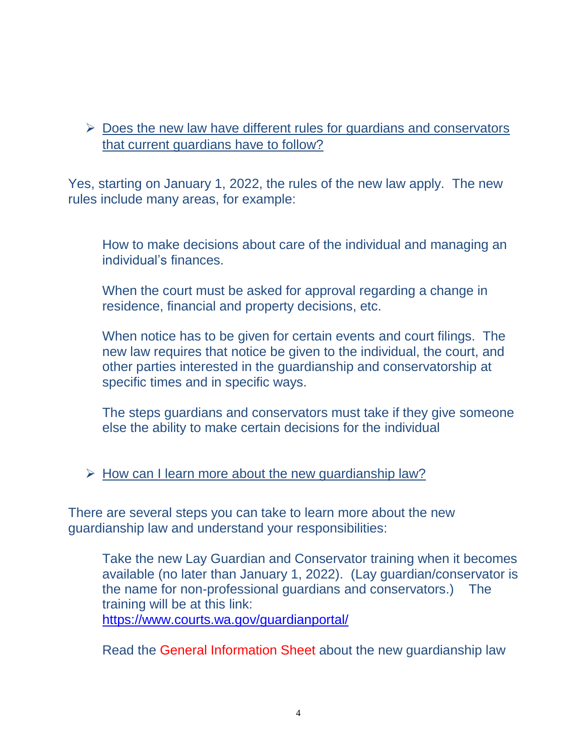#### $\triangleright$  Does the new law have different rules for guardians and conservators that current guardians have to follow?

Yes, starting on January 1, 2022, the rules of the new law apply. The new rules include many areas, for example:

How to make decisions about care of the individual and managing an individual's finances.

When the court must be asked for approval regarding a change in residence, financial and property decisions, etc.

When notice has to be given for certain events and court filings. The new law requires that notice be given to the individual, the court, and other parties interested in the guardianship and conservatorship at specific times and in specific ways.

The steps guardians and conservators must take if they give someone else the ability to make certain decisions for the individual

 $\triangleright$  How can I learn more about the new quardianship law?

There are several steps you can take to learn more about the new guardianship law and understand your responsibilities:

Take the new Lay Guardian and Conservator training when it becomes available (no later than January 1, 2022). (Lay guardian/conservator is the name for non-professional guardians and conservators.) The training will be at this link:

<https://www.courts.wa.gov/guardianportal/>

Read the General Information Sheet about the new guardianship law